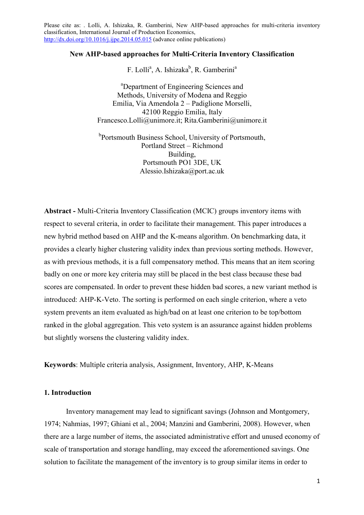### **New AHP-based approaches for Multi-Criteria Inventory Classification**

F. Lolli<sup>a</sup>, A. Ishizaka<sup>b</sup>, R. Gamberini<sup>a</sup>

a Department of Engineering Sciences and Methods, University of Modena and Reggio Emilia, Via Amendola 2 – Padiglione Morselli, 42100 Reggio Emilia, Italy Francesco.Lolli@unimore.it; Rita.Gamberini@unimore.it

b Portsmouth Business School, University of Portsmouth, Portland Street – Richmond Building, Portsmouth PO1 3DE, UK Alessio.Ishizaka@port.ac.uk

**Abstract -** Multi-Criteria Inventory Classification (MCIC) groups inventory items with respect to several criteria, in order to facilitate their management. This paper introduces a new hybrid method based on AHP and the K-means algorithm. On benchmarking data, it provides a clearly higher clustering validity index than previous sorting methods. However, as with previous methods, it is a full compensatory method. This means that an item scoring badly on one or more key criteria may still be placed in the best class because these bad scores are compensated. In order to prevent these hidden bad scores, a new variant method is introduced: AHP-K-Veto. The sorting is performed on each single criterion, where a veto system prevents an item evaluated as high/bad on at least one criterion to be top/bottom ranked in the global aggregation. This veto system is an assurance against hidden problems but slightly worsens the clustering validity index.

**Keywords**: Multiple criteria analysis, Assignment, Inventory, AHP, K-Means

# **1. Introduction**

Inventory management may lead to significant savings (Johnson and Montgomery, 1974; Nahmias, 1997; Ghiani et al., 2004; Manzini and Gamberini, 2008). However, when there are a large number of items, the associated administrative effort and unused economy of scale of transportation and storage handling, may exceed the aforementioned savings. One solution to facilitate the management of the inventory is to group similar items in order to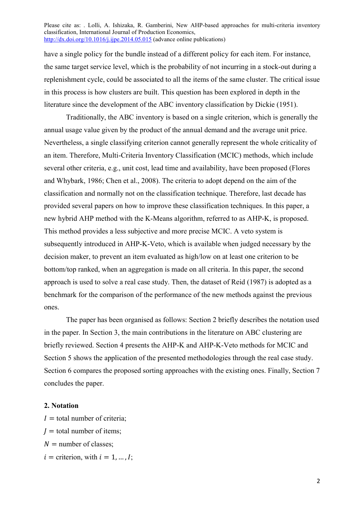have a single policy for the bundle instead of a different policy for each item. For instance, the same target service level, which is the probability of not incurring in a stock-out during a replenishment cycle, could be associated to all the items of the same cluster. The critical issue in this process is how clusters are built. This question has been explored in depth in the literature since the development of the ABC inventory classification by Dickie (1951).

Traditionally, the ABC inventory is based on a single criterion, which is generally the annual usage value given by the product of the annual demand and the average unit price. Nevertheless, a single classifying criterion cannot generally represent the whole criticality of an item. Therefore, Multi-Criteria Inventory Classification (MCIC) methods, which include several other criteria, e.g., unit cost, lead time and availability, have been proposed (Flores and Whybark, 1986; Chen et al., 2008). The criteria to adopt depend on the aim of the classification and normally not on the classification technique. Therefore, last decade has provided several papers on how to improve these classification techniques. In this paper, a new hybrid AHP method with the K-Means algorithm, referred to as AHP-K, is proposed. This method provides a less subjective and more precise MCIC. A veto system is subsequently introduced in AHP-K-Veto, which is available when judged necessary by the decision maker, to prevent an item evaluated as high/low on at least one criterion to be bottom/top ranked, when an aggregation is made on all criteria. In this paper, the second approach is used to solve a real case study. Then, the dataset of Reid (1987) is adopted as a benchmark for the comparison of the performance of the new methods against the previous ones.

 The paper has been organised as follows: Section 2 briefly describes the notation used in the paper. In Section 3, the main contributions in the literature on ABC clustering are briefly reviewed. Section 4 presents the AHP-K and AHP-K-Veto methods for MCIC and Section 5 shows the application of the presented methodologies through the real case study. Section 6 compares the proposed sorting approaches with the existing ones. Finally, Section 7 concludes the paper.

# **2. Notation**

 $I =$  total number of criteria;

 $J =$  total number of items;

 $N =$  number of classes;

 $i =$  criterion, with  $i = 1, ..., I;$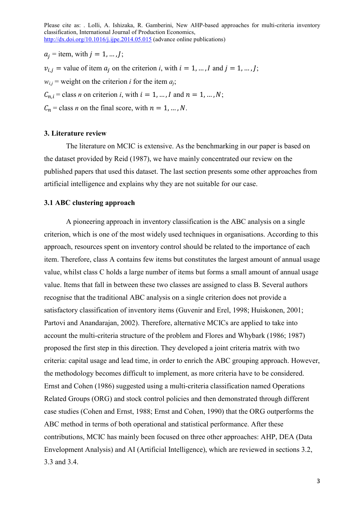$a_j$  = item, with  $j = 1, ..., J;$ 

 $v_{i,j}$  = value of item  $a_j$  on the criterion *i*, with  $i = 1, ..., I$  and  $j = 1, ..., J$ ;  $w_{i,j}$  = weight on the criterion *i* for the item  $a_i$ ;  $C_{n,i}$  = class *n* on criterion *i*, with  $i = 1, ..., I$  and  $n = 1, ..., N$ ;  $C_n$  = class *n* on the final score, with  $n = 1, ..., N$ .

### **3. Literature review**

 The literature on MCIC is extensive. As the benchmarking in our paper is based on the dataset provided by Reid (1987), we have mainly concentrated our review on the published papers that used this dataset. The last section presents some other approaches from artificial intelligence and explains why they are not suitable for our case.

#### **3.1 ABC clustering approach**

A pioneering approach in inventory classification is the ABC analysis on a single criterion, which is one of the most widely used techniques in organisations. According to this approach, resources spent on inventory control should be related to the importance of each item. Therefore, class A contains few items but constitutes the largest amount of annual usage value, whilst class C holds a large number of items but forms a small amount of annual usage value. Items that fall in between these two classes are assigned to class B. Several authors recognise that the traditional ABC analysis on a single criterion does not provide a satisfactory classification of inventory items (Guvenir and Erel, 1998; Huiskonen, 2001; Partovi and Anandarajan, 2002). Therefore, alternative MCICs are applied to take into account the multi-criteria structure of the problem and Flores and Whybark (1986; 1987) proposed the first step in this direction. They developed a joint criteria matrix with two criteria: capital usage and lead time, in order to enrich the ABC grouping approach. However, the methodology becomes difficult to implement, as more criteria have to be considered. Ernst and Cohen (1986) suggested using a multi-criteria classification named Operations Related Groups (ORG) and stock control policies and then demonstrated through different case studies (Cohen and Ernst, 1988; Ernst and Cohen, 1990) that the ORG outperforms the ABC method in terms of both operational and statistical performance. After these contributions, MCIC has mainly been focused on three other approaches: AHP, DEA (Data Envelopment Analysis) and AI (Artificial Intelligence), which are reviewed in sections 3.2, 3.3 and 3.4.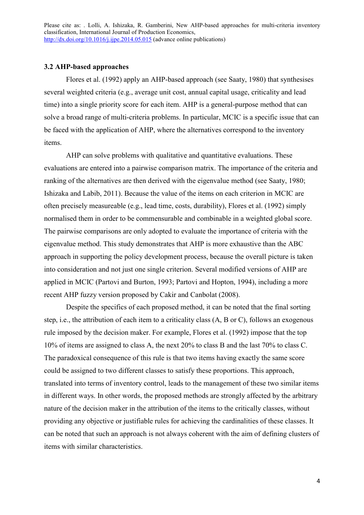#### **3.2 AHP-based approaches**

Flores et al. (1992) apply an AHP-based approach (see Saaty, 1980) that synthesises several weighted criteria (e.g., average unit cost, annual capital usage, criticality and lead time) into a single priority score for each item. AHP is a general-purpose method that can solve a broad range of multi-criteria problems. In particular, MCIC is a specific issue that can be faced with the application of AHP, where the alternatives correspond to the inventory items.

AHP can solve problems with qualitative and quantitative evaluations. These evaluations are entered into a pairwise comparison matrix. The importance of the criteria and ranking of the alternatives are then derived with the eigenvalue method (see Saaty, 1980; Ishizaka and Labib, 2011). Because the value of the items on each criterion in MCIC are often precisely measureable (e.g., lead time, costs, durability), Flores et al. (1992) simply normalised them in order to be commensurable and combinable in a weighted global score. The pairwise comparisons are only adopted to evaluate the importance of criteria with the eigenvalue method. This study demonstrates that AHP is more exhaustive than the ABC approach in supporting the policy development process, because the overall picture is taken into consideration and not just one single criterion. Several modified versions of AHP are applied in MCIC (Partovi and Burton, 1993; Partovi and Hopton, 1994), including a more recent AHP fuzzy version proposed by Cakir and Canbolat (2008).

Despite the specifics of each proposed method, it can be noted that the final sorting step, i.e., the attribution of each item to a criticality class (A, B or C), follows an exogenous rule imposed by the decision maker. For example, Flores et al. (1992) impose that the top 10% of items are assigned to class A, the next 20% to class B and the last 70% to class C. The paradoxical consequence of this rule is that two items having exactly the same score could be assigned to two different classes to satisfy these proportions. This approach, translated into terms of inventory control, leads to the management of these two similar items in different ways. In other words, the proposed methods are strongly affected by the arbitrary nature of the decision maker in the attribution of the items to the critically classes, without providing any objective or justifiable rules for achieving the cardinalities of these classes. It can be noted that such an approach is not always coherent with the aim of defining clusters of items with similar characteristics.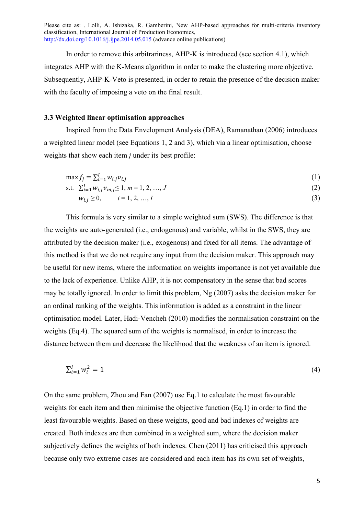In order to remove this arbitrariness, AHP-K is introduced (see section 4.1), which integrates AHP with the K-Means algorithm in order to make the clustering more objective. Subsequently, AHP-K-Veto is presented, in order to retain the presence of the decision maker with the faculty of imposing a veto on the final result.

# **3.3 Weighted linear optimisation approaches**

Inspired from the Data Envelopment Analysis (DEA), Ramanathan (2006) introduces a weighted linear model (see Equations 1, 2 and 3), which via a linear optimisation, choose weights that show each item *j* under its best profile:

$$
\max f_j = \sum_{i=1}^I w_{i,j} v_{i,j} \tag{1}
$$

s.t. 
$$
\sum_{i=1}^{I} w_{i,j} v_{m,j} \le 1, m = 1, 2, ..., J
$$
 (2)

$$
w_{i,j} \ge 0, \qquad i = 1, 2, ..., I
$$
 (3)

This formula is very similar to a simple weighted sum (SWS). The difference is that the weights are auto-generated (i.e., endogenous) and variable, whilst in the SWS, they are attributed by the decision maker (i.e., exogenous) and fixed for all items. The advantage of this method is that we do not require any input from the decision maker. This approach may be useful for new items, where the information on weights importance is not yet available due to the lack of experience. Unlike AHP, it is not compensatory in the sense that bad scores may be totally ignored. In order to limit this problem, Ng (2007) asks the decision maker for an ordinal ranking of the weights. This information is added as a constraint in the linear optimisation model. Later, Hadi-Vencheh (2010) modifies the normalisation constraint on the weights (Eq.4). The squared sum of the weights is normalised, in order to increase the distance between them and decrease the likelihood that the weakness of an item is ignored.

$$
\sum_{i=1}^{I} w_i^2 = 1 \tag{4}
$$

On the same problem, Zhou and Fan (2007) use Eq.1 to calculate the most favourable weights for each item and then minimise the objective function (Eq.1) in order to find the least favourable weights. Based on these weights, good and bad indexes of weights are created. Both indexes are then combined in a weighted sum, where the decision maker subjectively defines the weights of both indexes. Chen (2011) has criticised this approach because only two extreme cases are considered and each item has its own set of weights,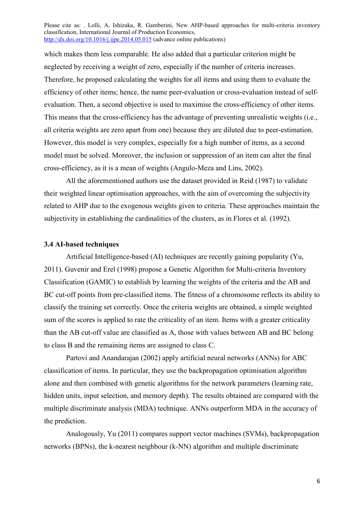which makes them less comparable. He also added that a particular criterion might be neglected by receiving a weight of zero, especially if the number of criteria increases. Therefore, he proposed calculating the weights for all items and using them to evaluate the efficiency of other items; hence, the name peer-evaluation or cross-evaluation instead of selfevaluation. Then, a second objective is used to maximise the cross-efficiency of other items. This means that the cross-efficiency has the advantage of preventing unrealistic weights (i.e., all criteria weights are zero apart from one) because they are diluted due to peer-estimation. However, this model is very complex, especially for a high number of items, as a second model must be solved. Moreover, the inclusion or suppression of an item can alter the final cross-efficiency, as it is a mean of weights (Angulo-Meza and Lins, 2002).

All the aforementioned authors use the dataset provided in Reid (1987) to validate their weighted linear optimisation approaches, with the aim of overcoming the subjectivity related to AHP due to the exogenous weights given to criteria. These approaches maintain the subjectivity in establishing the cardinalities of the clusters, as in Flores et al. (1992).

## **3.4 AI-based techniques**

Artificial Intelligence-based (AI) techniques are recently gaining popularity (Yu, 2011). Guvenir and Erel (1998) propose a Genetic Algorithm for Multi-criteria Inventory Classification (GAMIC) to establish by learning the weights of the criteria and the AB and BC cut-off points from pre-classified items. The fitness of a chromosome reflects its ability to classify the training set correctly. Once the criteria weights are obtained, a simple weighted sum of the scores is applied to rate the criticality of an item. Items with a greater criticality than the AB cut-off value are classified as A, those with values between AB and BC belong to class B and the remaining items are assigned to class C.

Partovi and Anandarajan (2002) apply artificial neural networks (ANNs) for ABC classification of items. In particular, they use the backpropagation optimisation algorithm alone and then combined with genetic algorithms for the network parameters (learning rate, hidden units, input selection, and memory depth). The results obtained are compared with the multiple discriminate analysis (MDA) technique. ANNs outperform MDA in the accuracy of the prediction.

Analogously, Yu (2011) compares support vector machines (SVMs), backpropagation networks (BPNs), the k-nearest neighbour (k-NN) algorithm and multiple discriminate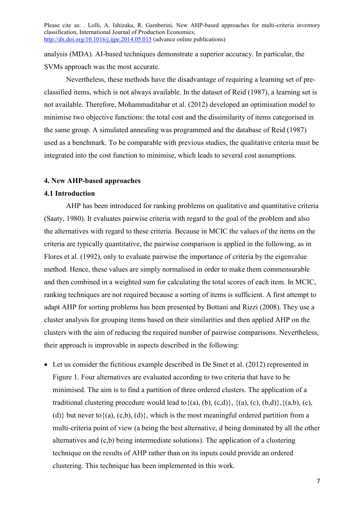analysis (MDA). AI-based techniques demonstrate a superior accuracy. In particular, the SVMs approach was the most accurate.

Nevertheless, these methods have the disadvantage of requiring a learning set of preclassified items, which is not always available. In the dataset of Reid (1987), a learning set is not available. Therefore, Mohammaditabar et al. (2012) developed an optimisation model to minimise two objective functions: the total cost and the dissimilarity of items categorised in the same group. A simulated annealing was programmed and the database of Reid (1987) used as a benchmark. To be comparable with previous studies, the qualitative criteria must be integrated into the cost function to minimise, which leads to several cost assumptions.

#### **4. New AHP-based approaches**

#### **4.1 Introduction**

AHP has been introduced for ranking problems on qualitative and quantitative criteria (Saaty, 1980). It evaluates pairwise criteria with regard to the goal of the problem and also the alternatives with regard to these criteria. Because in MCIC the values of the items on the criteria are typically quantitative, the pairwise comparison is applied in the following, as in Flores et al. (1992), only to evaluate pairwise the importance of criteria by the eigenvalue method. Hence, these values are simply normalised in order to make them commensurable and then combined in a weighted sum for calculating the total scores of each item. In MCIC, ranking techniques are not required because a sorting of items is sufficient. A first attempt to adapt AHP for sorting problems has been presented by Bottani and Rizzi (2008). They use a cluster analysis for grouping items based on their similarities and then applied AHP on the clusters with the aim of reducing the required number of pairwise comparisons. Nevertheless, their approach is improvable in aspects described in the following:

 Let us consider the fictitious example described in De Smet et al. (2012) represented in Figure 1. Four alternatives are evaluated according to two criteria that have to be minimised. The aim is to find a partition of three ordered clusters. The application of a traditional clustering procedure would lead to  $\{(a), (b), (c,d)\}, \{(a), (c), (b,d)\}, \{(a,b), (c),$ (d)} but never to  $\{(a), (c,b), (d)\}$ , which is the most meaningful ordered partition from a multi-criteria point of view (a being the best alternative, d being dominated by all the other alternatives and (c,b) being intermediate solutions). The application of a clustering technique on the results of AHP rather than on its inputs could provide an ordered clustering. This technique has been implemented in this work.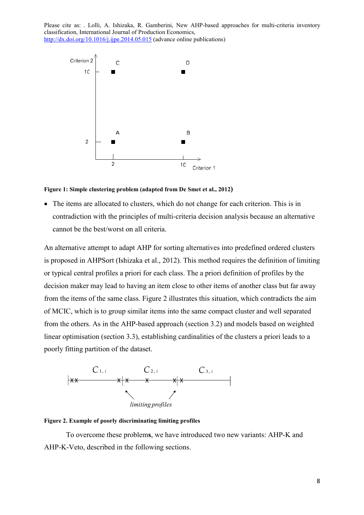

#### **Figure 1: Simple clustering problem (adapted from De Smet et al., 2012)**

• The items are allocated to clusters, which do not change for each criterion. This is in contradiction with the principles of multi-criteria decision analysis because an alternative cannot be the best/worst on all criteria.

An alternative attempt to adapt AHP for sorting alternatives into predefined ordered clusters is proposed in AHPSort (Ishizaka et al., 2012). This method requires the definition of limiting or typical central profiles a priori for each class. The a priori definition of profiles by the decision maker may lead to having an item close to other items of another class but far away from the items of the same class. Figure 2 illustrates this situation, which contradicts the aim of MCIC, which is to group similar items into the same compact cluster and well separated from the others. As in the AHP-based approach (section 3.2) and models based on weighted linear optimisation (section 3.3), establishing cardinalities of the clusters a priori leads to a poorly fitting partition of the dataset.



#### **Figure 2. Example of poorly discriminating limiting profiles**

To overcome these problem**s**, we have introduced two new variants: AHP-K and AHP-K-Veto, described in the following sections.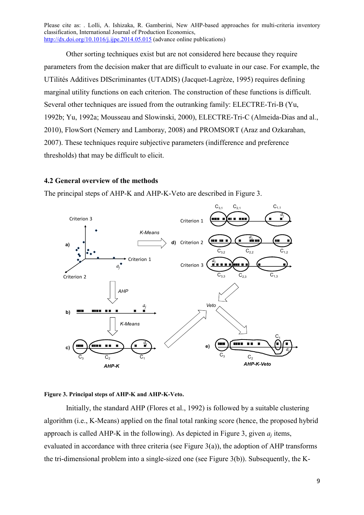Other sorting techniques exist but are not considered here because they require parameters from the decision maker that are difficult to evaluate in our case. For example, the UTilités Additives DIScriminantes (UTADIS) (Jacquet-Lagrèze, 1995) requires defining marginal utility functions on each criterion. The construction of these functions is difficult. Several other techniques are issued from the outranking family: ELECTRE-Tri-B (Yu, 1992b; Yu, 1992a; Mousseau and Slowinski, 2000), ELECTRE-Tri-C (Almeida-Dias and al., 2010), FlowSort (Nemery and Lamboray, 2008) and PROMSORT (Araz and Ozkarahan, 2007). These techniques require subjective parameters (indifference and preference thresholds) that may be difficult to elicit.

## **4.2 General overview of the methods**

The principal steps of AHP-K and AHP-K-Veto are described in Figure 3.



#### **Figure 3. Principal steps of AHP-K and AHP-K-Veto.**

Initially, the standard AHP (Flores et al., 1992) is followed by a suitable clustering algorithm (i.e., K-Means) applied on the final total ranking score (hence, the proposed hybrid approach is called AHP-K in the following). As depicted in Figure 3, given *aj* items, evaluated in accordance with three criteria (see Figure 3(a)), the adoption of AHP transforms the tri-dimensional problem into a single-sized one (see Figure 3(b)). Subsequently, the K-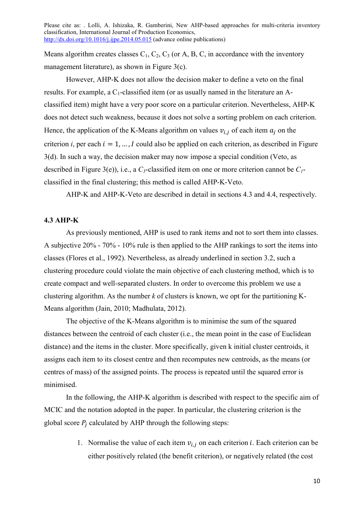Means algorithm creates classes  $C_1$ ,  $C_2$ ,  $C_3$  (or A, B, C, in accordance with the inventory management literature), as shown in Figure 3(c).

However, AHP-K does not allow the decision maker to define a veto on the final results. For example, a  $C_1$ -classified item (or as usually named in the literature an Aclassified item) might have a very poor score on a particular criterion. Nevertheless, AHP-K does not detect such weakness, because it does not solve a sorting problem on each criterion. Hence, the application of the K-Means algorithm on values  $v_{i,j}$  of each item  $a_j$  on the criterion *i*, per each  $i = 1, ..., I$  could also be applied on each criterion, as described in Figure 3(d). In such a way, the decision maker may now impose a special condition (Veto, as described in Figure 3(e)), i.e., a *C3*-classified item on one or more criterion cannot be *C1* classified in the final clustering; this method is called AHP-K-Veto.

AHP-K and AHP-K-Veto are described in detail in sections 4.3 and 4.4, respectively.

# **4.3 AHP-K**

As previously mentioned, AHP is used to rank items and not to sort them into classes. A subjective 20% - 70% - 10% rule is then applied to the AHP rankings to sort the items into classes (Flores et al., 1992). Nevertheless, as already underlined in section 3.2, such a clustering procedure could violate the main objective of each clustering method, which is to create compact and well-separated clusters. In order to overcome this problem we use a clustering algorithm. As the number *k* of clusters is known, we opt for the partitioning K-Means algorithm (Jain, 2010; Madhulata, 2012).

The objective of the K-Means algorithm is to minimise the sum of the squared distances between the centroid of each cluster (i.e., the mean point in the case of Euclidean distance) and the items in the cluster. More specifically, given k initial cluster centroids, it assigns each item to its closest centre and then recomputes new centroids, as the means (or centres of mass) of the assigned points. The process is repeated until the squared error is minimised.

In the following, the AHP-K algorithm is described with respect to the specific aim of MCIC and the notation adopted in the paper. In particular, the clustering criterion is the global score  $P_i$  calculated by AHP through the following steps:

> 1. Normalise the value of each item  $v_{i,j}$  on each criterion *i*. Each criterion can be either positively related (the benefit criterion), or negatively related (the cost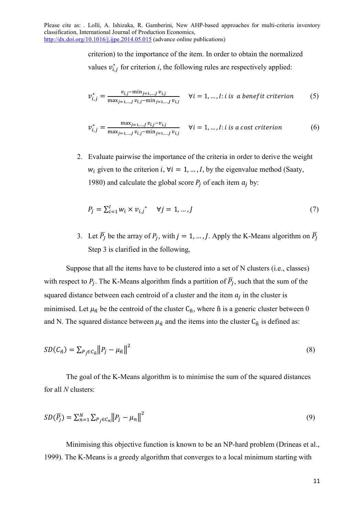> criterion) to the importance of the item. In order to obtain the normalized values  $v_{i,j}^*$  for criterion *i*, the following rules are respectively applied:

$$
v_{i,j}^{*} = \frac{v_{i,j} - \min_{j=1,\dots,J} v_{i,j}}{\max_{j=1,\dots,J} v_{i,j} - \min_{j=1,\dots,J} v_{i,j}} \quad \forall i = 1,\dots, l: i \text{ is a benefit criterion}
$$
 (5)

$$
v_{i,j}^* = \frac{\max_{j=1,\dots,J} v_{i,j} - v_{i,j}}{\max_{j=1,\dots,J} v_{i,j} - \min_{j=1,\dots,J} v_{i,j}} \quad \forall i = 1,\dots, l : i \text{ is a cost criterion}
$$
(6)

2. Evaluate pairwise the importance of the criteria in order to derive the weight  $w_i$  given to the criterion i,  $\forall i = 1, ..., I$ , by the eigenvalue method (Saaty, 1980) and calculate the global score  $P_i$  of each item  $a_i$  by:

$$
P_j = \sum_{i=1}^{I} w_i \times v_{i,j}^* \quad \forall j = 1, ..., J
$$
 (7)

3. Let  $\overline{P}_J$  be the array of  $P_j$ , with  $j = 1, ..., J$ . Apply the K-Means algorithm on  $\overline{P}_J$ Step 3 is clarified in the following,

 Suppose that all the items have to be clustered into a set of N clusters (i.e., classes) with respect to  $P_j$ . The K-Means algorithm finds a partition of  $\overline{P}_j$ , such that the sum of the squared distance between each centroid of a cluster and the item  $a_i$  in the cluster is minimised. Let  $\mu_{\hat{n}}$  be the centroid of the cluster C<sub> $\hat{n}$ </sub>, where  $\hat{n}$  is a generic cluster between 0 and N. The squared distance between  $\mu_{\hat{n}}$  and the items into the cluster C $_{\hat{n}}$  is defined as:

$$
SD(C_{\hat{n}}) = \sum_{P_j \in C_{\hat{n}}} ||P_j - \mu_{\hat{n}}||^2
$$
\n(8)

The goal of the K-Means algorithm is to minimise the sum of the squared distances for all *N* clusters:

$$
SD(\overline{P_j}) = \sum_{n=1}^{N} \sum_{P_j \in C_n} ||P_j - \mu_n||^2
$$
\n(9)

Minimising this objective function is known to be an NP-hard problem (Drineas et al., 1999). The K-Means is a greedy algorithm that converges to a local minimum starting with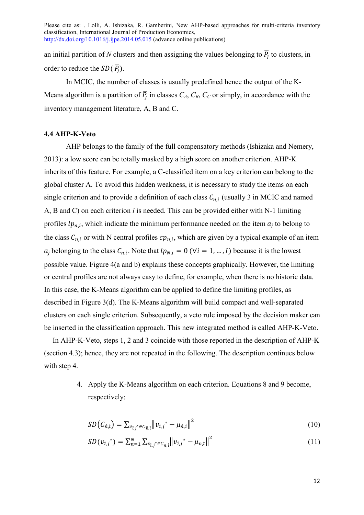an initial partition of N clusters and then assigning the values belonging to  $\overline{P}_j$  to clusters, in order to reduce the  $SD(\overline{P}_j)$ .

In MCIC, the number of classes is usually predefined hence the output of the K-Means algorithm is a partition of  $\overline{P}_j$  in classes  $C_A$ ,  $C_B$ ,  $C_C$  or simply, in accordance with the inventory management literature, A, B and C.

# **4.4 AHP-K-Veto**

 AHP belongs to the family of the full compensatory methods (Ishizaka and Nemery, 2013): a low score can be totally masked by a high score on another criterion. AHP-K inherits of this feature. For example, a C-classified item on a key criterion can belong to the global cluster A. To avoid this hidden weakness, it is necessary to study the items on each single criterion and to provide a definition of each class  $C_{n,i}$  (usually 3 in MCIC and named A, B and C) on each criterion *i* is needed. This can be provided either with N-1 limiting profiles  $lp_{n,i}$ , which indicate the minimum performance needed on the item  $a_j$  to belong to the class  $C_{n,i}$  or with N central profiles  $cp_{n,i}$ , which are given by a typical example of an item  $a_j$  belonging to the class  $C_{n,i}$ . Note that  $lp_{N,i} = 0$  ( $\forall i = 1, ..., I$ ) because it is the lowest possible value. Figure 4(a and b) explains these concepts graphically. However, the limiting or central profiles are not always easy to define, for example, when there is no historic data. In this case, the K-Means algorithm can be applied to define the limiting profiles, as described in Figure 3(d). The K-Means algorithm will build compact and well-separated clusters on each single criterion. Subsequently, a veto rule imposed by the decision maker can be inserted in the classification approach. This new integrated method is called AHP-K-Veto.

In AHP-K-Veto, steps 1, 2 and 3 coincide with those reported in the description of AHP-K (section 4.3); hence, they are not repeated in the following. The description continues below with step 4.

> 4. Apply the K-Means algorithm on each criterion. Equations 8 and 9 become, respectively:

$$
SD(C_{\hat{n},i}) = \sum_{v_{\hat{i},j}^* \in C_{\hat{n},i}} ||v_{i,j}^* - \mu_{\hat{n},i}||^2
$$
\n(10)

$$
SD(v_{i,j}^*) = \sum_{n=1}^{N} \sum_{v_{i,j}^* \in C_{n,i}} ||v_{i,j}^* - \mu_{n,i}||^2
$$
\n(11)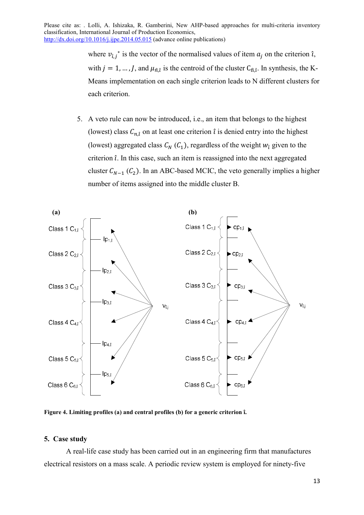where  $v_{i,j}$ <sup>\*</sup> is the vector of the normalised values of item  $a_j$  on the criterion  $\hat{i}$ , with  $j = 1, ..., J$ , and  $\mu_{\hat{n},\hat{i}}$  is the centroid of the cluster  $C_{\hat{n},\hat{i}}$ . In synthesis, the K- Means implementation on each single criterion leads to N different clusters for each criterion.

5. A veto rule can now be introduced, i.e., an item that belongs to the highest (lowest) class  $C_{n,i}$  on at least one criterion  $\hat{\imath}$  is denied entry into the highest (lowest) aggregated class  $C_N$  ( $C_1$ ), regardless of the weight  $w_i$  given to the criterion  $\hat{i}$ . In this case, such an item is reassigned into the next aggregated cluster  $C_{N-1}$  ( $C_2$ ). In an ABC-based MCIC, the veto generally implies a higher number of items assigned into the middle cluster B.



**Figure 4. Limiting profiles (a) and central profiles (b) for a generic criterion î.** 

# **5. Case study**

A real-life case study has been carried out in an engineering firm that manufactures electrical resistors on a mass scale. A periodic review system is employed for ninety-five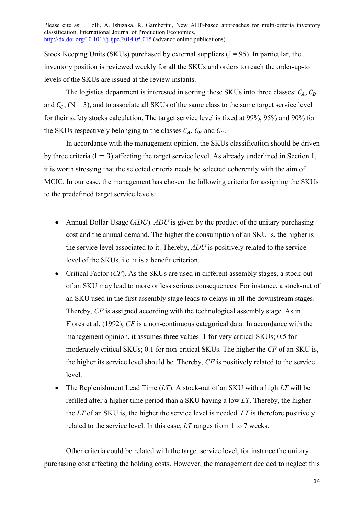Stock Keeping Units (SKUs) purchased by external suppliers  $(J = 95)$ . In particular, the inventory position is reviewed weekly for all the SKUs and orders to reach the order-up-to levels of the SKUs are issued at the review instants.

The logistics department is interested in sorting these SKUs into three classes:  $C_A$ ,  $C_B$ and  $C_c$ , (N = 3), and to associate all SKUs of the same class to the same target service level for their safety stocks calculation. The target service level is fixed at 99%, 95% and 90% for the SKUs respectively belonging to the classes  $C_A$ ,  $C_B$  and  $C_C$ .

 In accordance with the management opinion, the SKUs classification should be driven by three criteria  $(I = 3)$  affecting the target service level. As already underlined in Section 1, it is worth stressing that the selected criteria needs be selected coherently with the aim of MCIC. In our case, the management has chosen the following criteria for assigning the SKUs to the predefined target service levels:

- Annual Dollar Usage (*ADU*). *ADU* is given by the product of the unitary purchasing cost and the annual demand. The higher the consumption of an SKU is, the higher is the service level associated to it. Thereby, *ADU* is positively related to the service level of the SKUs, i.e. it is a benefit criterion.
- Critical Factor (*CF*). As the SKUs are used in different assembly stages, a stock-out of an SKU may lead to more or less serious consequences. For instance, a stock-out of an SKU used in the first assembly stage leads to delays in all the downstream stages. Thereby, *CF* is assigned according with the technological assembly stage. As in Flores et al. (1992), *CF* is a non-continuous categorical data. In accordance with the management opinion, it assumes three values: 1 for very critical SKUs; 0.5 for moderately critical SKUs; 0.1 for non-critical SKUs. The higher the *CF* of an SKU is, the higher its service level should be. Thereby, *CF* is positively related to the service level.
- The Replenishment Lead Time (*LT*). A stock-out of an SKU with a high *LT* will be refilled after a higher time period than a SKU having a low *LT*. Thereby, the higher the *LT* of an SKU is, the higher the service level is needed. *LT* is therefore positively related to the service level. In this case, *LT* ranges from 1 to 7 weeks.

 Other criteria could be related with the target service level, for instance the unitary purchasing cost affecting the holding costs. However, the management decided to neglect this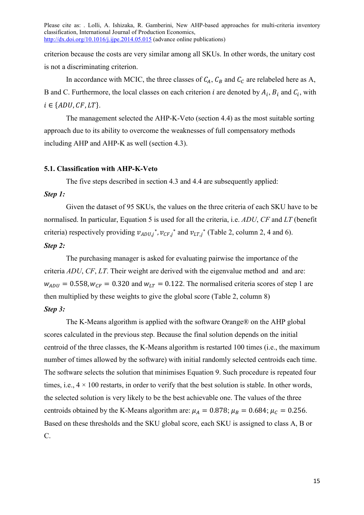criterion because the costs are very similar among all SKUs. In other words, the unitary cost is not a discriminating criterion.

In accordance with MCIC, the three classes of  $C_A$ ,  $C_B$  and  $C_C$  are relabeled here as A, B and C. Furthermore, the local classes on each criterion *i* are denoted by  $A_i$ ,  $B_i$  and  $C_i$ , with  $i \in \{ADU, CF, LT\}$ .

 The management selected the AHP-K-Veto (section 4.4) as the most suitable sorting approach due to its ability to overcome the weaknesses of full compensatory methods including AHP and AHP-K as well (section 4.3).

# **5.1. Classification with AHP-K-Veto**

The five steps described in section 4.3 and 4.4 are subsequently applied:

#### *Step 1:*

Given the dataset of 95 SKUs, the values on the three criteria of each SKU have to be normalised. In particular, Equation 5 is used for all the criteria, i.e. *ADU*, *CF* and *LT* (benefit criteria) respectively providing  $v_{ADU,j}$ <sup>\*</sup>,  $v_{CF,j}$ <sup>\*</sup> and  $v_{LT,j}$ <sup>\*</sup> (Table 2, column 2, 4 and 6). *Step 2:*

The purchasing manager is asked for evaluating pairwise the importance of the criteria *ADU*, *CF*, *LT*. Their weight are derived with the eigenvalue method and and are:  $w_{ADU} = 0.558$ ,  $w_{CF} = 0.320$  and  $w_{LT} = 0.122$ . The normalised criteria scores of step 1 are then multiplied by these weights to give the global score (Table 2, column 8) *Step 3:* 

 The K-Means algorithm is applied with the software Orange® on the AHP global scores calculated in the previous step. Because the final solution depends on the initial centroid of the three classes, the K-Means algorithm is restarted 100 times (i.e., the maximum number of times allowed by the software) with initial randomly selected centroids each time. The software selects the solution that minimises Equation 9. Such procedure is repeated four times, i.e.,  $4 \times 100$  restarts, in order to verify that the best solution is stable. In other words, the selected solution is very likely to be the best achievable one. The values of the three centroids obtained by the K-Means algorithm are:  $\mu_A = 0.878$ ;  $\mu_B = 0.684$ ;  $\mu_C = 0.256$ . Based on these thresholds and the SKU global score, each SKU is assigned to class A, B or C.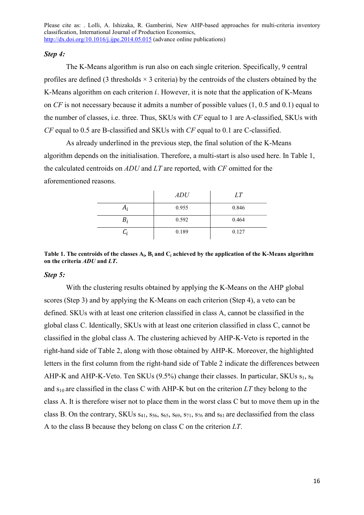#### *Step 4:*

The K-Means algorithm is run also on each single criterion. Specifically, 9 central profiles are defined (3 thresholds  $\times$  3 criteria) by the centroids of the clusters obtained by the K-Means algorithm on each criterion  $i$ . However, it is note that the application of K-Means on *CF* is not necessary because it admits a number of possible values (1, 0.5 and 0.1) equal to the number of classes, i.e. three. Thus, SKUs with *CF* equal to 1 are A-classified, SKUs with *CF* equal to 0.5 are B-classified and SKUs with *CF* equal to 0.1 are C-classified.

As already underlined in the previous step, the final solution of the K-Means algorithm depends on the initialisation. Therefore, a multi-start is also used here. In Table 1, the calculated centroids on *ADU* and *LT* are reported, with *CF* omitted for the aforementioned reasons.

|       | ADU   | LT    |
|-------|-------|-------|
| $A_i$ | 0.955 | 0.846 |
| $B_i$ | 0.592 | 0.464 |
| Ui    | 0.189 | 0.127 |

**Table 1. The centroids of the classes Ai, Bi and Ci achieved by the application of the K-Means algorithm on the criteria** *ADU* **and** *LT***.** 

#### *Step 5:*

 With the clustering results obtained by applying the K-Means on the AHP global scores (Step 3) and by applying the K-Means on each criterion (Step 4), a veto can be defined. SKUs with at least one criterion classified in class A, cannot be classified in the global class C. Identically, SKUs with at least one criterion classified in class C, cannot be classified in the global class A. The clustering achieved by AHP-K-Veto is reported in the right-hand side of Table 2, along with those obtained by AHP-K. Moreover, the highlighted letters in the first column from the right-hand side of Table 2 indicate the differences between AHP-K and AHP-K-Veto. Ten SKUs  $(9.5\%)$  change their classes. In particular, SKUs  $s_1$ ,  $s_8$ and s10 are classified in the class C with AHP-K but on the criterion *LT* they belong to the class A. It is therefore wiser not to place them in the worst class C but to move them up in the class B. On the contrary, SKUs  $s_{41}$ ,  $s_{56}$ ,  $s_{65}$ ,  $s_{69}$ ,  $s_{71}$ ,  $s_{76}$  and  $s_{81}$  are declassified from the class A to the class B because they belong on class C on the criterion *LT*.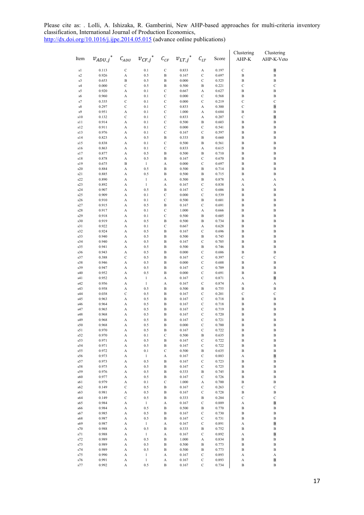| Item       | $v_{ADU,j}$ <sup>*</sup> $C_{ADU}$ |                    | $v_{CF,j}$ * $c_{CF}$ |        | $v_{LT, j}$ *  | $\mathcal{C}_{LT}$         | Score          | Clustering<br>AHP-K       | Clustering<br>AHP-K-Veto |
|------------|------------------------------------|--------------------|-----------------------|--------|----------------|----------------------------|----------------|---------------------------|--------------------------|
| s1         | 0.113                              | $\mathbf C$        | 0.1                   | C      | 0.833          | A                          | 0.197          | C                         | $\, {\bf B}$             |
| s2         | 0.926                              | A                  | 0.5                   | B      | 0.167          | $\mathbf C$                | 0.697          | B                         | B                        |
| s3         | 0.653                              | B                  | 0.5                   | B      | 0.000          | $\mathbf C$                | 0.525          | B                         | B                        |
| s4<br>s5   | 0.000<br>0.920                     | $\mathcal{C}$<br>A | 0.5<br>0.1            | B<br>C | 0.500<br>0.667 | $\, {\bf B}$<br>A          | 0.221<br>0.627 | C<br>B                    | C<br>B                   |
| s6         | 0.960                              | A                  | 0.1                   | C      | 0.000          | $\mathbf C$                | 0.568          | B                         | B                        |
| s7         | 0.335                              | $\mathsf{C}$       | 0.1                   | C      | 0.000          | $\mathbf C$                | 0.219          | $\mathbf C$               | $\mathbf C$              |
| s8         | 0.297                              | $\mathsf{C}$       | 0.1                   | C      | 0.833          | A                          | 0.300          | C                         | $\overline{\mathbf{B}}$  |
| s9         | 0.951                              | A                  | 0.1                   | C      | 1.000          | A                          | 0.684          | B                         | B                        |
| s10        | 0.132                              | $\mathsf{C}$       | 0.1                   | C      | 0.833          | A                          | 0.207          | C                         | $\, {\bf B}$             |
| s11        | 0.914                              | A                  | 0.1                   | C      | 0.500          | B                          | 0.603          | B                         | B                        |
| s12        | 0.911                              | A                  | 0.1                   | C      | 0.000          | $\mathbf C$                | 0.541          | B                         | B                        |
| s13        | 0.976                              | A                  | 0.1                   | C      | 0.167          | $\mathbf C$                | 0.597          | B                         | B                        |
| s14        | 0.823                              | A                  | 0.5                   | B      | 0.333          | B                          | 0.660          | B                         | B                        |
| s15        | 0.838                              | A                  | 0.1                   | C      | 0.500          | B                          | 0.561          | B                         | B                        |
| s16        | 0.863                              | A<br>A             | 0.1                   | C      | 0.833<br>0.500 | A                          | 0.615          | B<br>B                    | B<br>B                   |
| s17<br>s18 | 0.877<br>0.878                     | A                  | 0.5<br>0.5            | B<br>B | 0.167          | B<br>$\mathbf C$           | 0.710<br>0.670 | B                         | B                        |
| s19        | 0.675                              | B                  | $\mathbf{1}$          | A      | 0.000          | $\mathbf C$                | 0.697          | B                         | B                        |
| s20        | 0.884                              | A                  | 0.5                   | B      | 0.500          | B                          | 0.714          | B                         | B                        |
| s21        | 0.885                              | A                  | 0.5                   | B      | 0.500          | B                          | 0.715          | B                         | B                        |
| s22        | 0.890                              | A                  | $\mathbf{1}$          | A      | 0.500          | B                          | 0.878          | A                         | A                        |
| s23        | 0.892                              | A                  | $\mathbf{1}$          | A      | 0.167          | $\mathbf C$                | 0.838          | A                         | A                        |
| s24        | 0.907                              | A                  | 0.5                   | B      | 0.167          | $\mathbf C$                | 0.686          | B                         | B                        |
| s25        | 0.909                              | A                  | 0.1                   | С      | 0.000          | $\mathbf C$                | 0.539          | B                         | B                        |
| s26        | 0.910                              | A                  | 0.1                   | C      | 0.500          | B                          | 0.601          | B                         | B                        |
| s27        | 0.915                              | A                  | 0.5                   | B      | 0.167          | $\mathbf C$                | 0.691          | B                         | B                        |
| s28<br>s29 | 0.917<br>0.918                     | A<br>A             | 0.1<br>0.1            | C<br>C | 1.000<br>0.500 | A<br>B                     | 0.666<br>0.605 | B<br>$\, {\bf B}$         | B<br>B                   |
| s30        | 0.919                              | A                  | 0.5                   | B      | 0.500          | B                          | 0.734          | B                         | B                        |
| s31        | 0.922                              | A                  | 0.1                   | С      | 0.667          | А                          | 0.628          | $\, {\bf B}$              | B                        |
| s32        | 0.924                              | A                  | 0.5                   | B      | 0.167          | $\mathbf C$                | 0.696          | B                         | B                        |
| s33        | 0.940                              | A                  | 0.5                   | B      | 0.500          | B                          | 0.745          | B                         | B                        |
| s34        | 0.940                              | A                  | 0.5                   | B      | 0.167          | $\mathbf C$                | 0.705          | B                         | $\, {\bf B}$             |
| s35        | 0.941                              | A                  | 0.5                   | B      | 0.500          | $\, {\bf B}$               | 0.746          | $\, {\bf B}$              | B                        |
| s36        | 0.943                              | A                  | 0.5                   | B      | 0.000          | $\mathbf C$                | 0.686          | B                         | B                        |
| s37        | 0.388                              | $\mathsf{C}$       | 0.5                   | B      | 0.167          | $\mathbf C$                | 0.397          | C                         | C                        |
| s38        | 0.946                              | A                  | 0.5                   | B      | 0.000          | $\mathbf C$                | 0.688          | B                         | B                        |
| s39<br>s40 | 0.947<br>0.952                     | A<br>A             | 0.5<br>0.5            | B<br>B | 0.167<br>0.000 | $\mathbf C$<br>$\mathbf C$ | 0.709<br>0.691 | B<br>B                    | B<br>B                   |
| s41        | 0.952                              | A                  | $\mathbf{1}$          | A      | 0.167          | $\mathbf C$                | 0.871          | A                         | $\, {\bf B}$             |
| s42        | 0.956                              | A                  | $\mathbf{1}$          | A      | 0.167          | $\mathbf C$                | 0.874          | A                         | A                        |
| s43        | 0.958                              | A                  | 0.5                   | B      | 0.500          | B                          | 0.755          | B                         | B                        |
| s44        | 0.038                              | $\mathsf{C}$       | 0.5                   | B      | 0.167          | $\mathbf C$                | 0.201          | C                         | C                        |
| s45        | 0.963                              | A                  | 0.5                   | B      | 0.167          | $\mathbf C$                | 0.718          | B                         | B                        |
| s46        | 0.964                              | A                  | 0.5                   | B      | 0.167          | $\mathbf C$                | 0.718          | B                         | B                        |
| s47        | 0.965                              | A                  | 0.5                   | B      | 0.167          | $\mathbf C$                | 0.719          | B                         | B                        |
| s48        | 0.968                              | A                  | 0.5                   | B      | 0.167          | $\mathbf C$                | 0.720          | B<br>B                    | B                        |
| s49<br>s50 | 0.968<br>0.968                     | A<br>A             | 0.5<br>0.5            | B<br>B | 0.167<br>0.000 | C<br>$\mathbf C$           | 0.721<br>0.700 | B                         | B<br>B                   |
| s51        | 0.970                              | A                  | 0.5                   | B      | 0.167          | $\mathbf C$                | 0.722          | B                         | B                        |
| s52        | 0.970                              | A                  | 0.1                   | C      | 0.500          | B                          | 0.635          | B                         | B                        |
| s53        | 0.971                              | A                  | 0.5                   | B      | 0.167          | $\mathbf C$                | 0.722          | B                         | B                        |
| s54        | 0.971                              | A                  | 0.5                   | B      | 0.167          | $\mathbf C$                | 0.722          | B                         | B                        |
| s55        | 0.972                              | A                  | 0.1                   | C      | 0.500          | B                          | 0.635          | B                         | B                        |
| s56        | 0.973                              | A                  | $\mathbf{1}$          | A      | 0.167          | $\mathbf C$                | 0.883          | A                         | $\, {\bf B}$             |
| s57        | 0.973                              | A                  | 0.5                   | B      | 0.167          | $\mathbf C$                | 0.723          | B                         | B                        |
| s58        | 0.975                              | A                  | 0.5                   | B      | 0.167          | $\mathbf C$                | 0.725          | B                         | B                        |
| s59<br>s60 | 0.976<br>0.977                     | A<br>A             | 0.5                   | B<br>B | 0.333<br>0.167 | B<br>$\mathbf C$           | 0.745          | B<br>B                    | B<br>B                   |
| s61        | 0.979                              | A                  | 0.5<br>0.1            | С      | 1.000          | A                          | 0.726<br>0.700 | B                         | B                        |
| s62        | 0.149                              | $\mathsf{C}$       | 0.5                   | B      | 0.167          | $\mathbf C$                | 0.263          | $\mathbf C$               | C                        |
| s63        | 0.981                              | A                  | 0.5                   | B      | 0.167          | $\mathbf C$                | 0.728          | B                         | B                        |
| s64        | 0.149                              | $\mathbf C$        | 0.5                   | B      | 0.333          | B                          | 0.284          | С                         | C                        |
| s65        | 0.984                              | A                  | $\mathbf{1}$          | A      | 0.167          | $\mathbf C$                | 0.889          | A                         | B                        |
| s66        | 0.984                              | A                  | 0.5                   | B      | 0.500          | B                          | 0.770          | B                         | B                        |
| s67        | 0.985                              | A                  | 0.5                   | B      | 0.167          | $\mathbf C$                | 0.730          | B                         | B                        |
| s68        | 0.987                              | A                  | 0.5                   | B      | 0.167          | $\mathbf C$                | 0.731          | B                         | B                        |
| s69        | 0.987                              | A                  | $\mathbf{1}$          | A      | 0.167          | $\mathbf C$                | 0.891          | A                         | B                        |
| s70        | 0.988                              | A                  | 0.5                   | B      | 0.333          | B                          | 0.752          | B                         | B                        |
| s71<br>s72 | 0.988<br>0.989                     | A<br>A             | $\,1$<br>0.5          | A<br>B | 0.167<br>1.000 | $\mathbf C$<br>A           | 0.892<br>0.834 | A<br>B                    | B<br>B                   |
| s73        | 0.989                              | A                  | 0.5                   | B      | 0.500          | B                          | 0.773          | B                         | B                        |
| s74        | 0.989                              | A                  | 0.5                   | B      | 0.500          | B                          | 0.773          | B                         | B                        |
| s75        | 0.990                              | A                  | $\mathbf{1}$          | A      | 0.167          | $\mathbf C$                | 0.893          | A                         | A                        |
| s76        | 0.991                              | A                  | $\mathbf{1}$          | A      | 0.167          | $\mathsf C$                | 0.893          | $\boldsymbol{\mathsf{A}}$ | $\, {\bf B}$             |
| s77        | 0.992                              | A                  | 0.5                   | B      | 0.167          | $\mathbf C$                | 0.734          | B                         | $\, {\bf B}$             |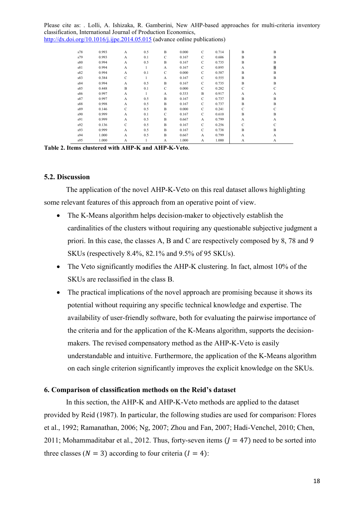| s78 | 0.993 | A            | 0.5 | B              | 0.000 | C            | 0.714 | B            | B            |
|-----|-------|--------------|-----|----------------|-------|--------------|-------|--------------|--------------|
| s79 | 0.993 | A            | 0.1 | $\mathsf{C}$   | 0.167 | C            | 0.606 | B            | B            |
| s80 | 0.994 | $\mathbf{A}$ | 0.5 | B              | 0.167 | $\mathsf{C}$ | 0.735 | B            | B            |
| s81 | 0.994 | A            |     | $\mathbf{A}$   | 0.167 | C            | 0.895 | $\mathbf{A}$ | $\, {\bf B}$ |
| s82 | 0.994 | $\mathbf{A}$ | 0.1 | $\mathsf{C}$   | 0.000 | $\mathsf{C}$ | 0.587 | B            | B            |
| s83 | 0.384 | C            |     | $\mathbf{A}$   | 0.167 | C            | 0.555 | B            | B            |
| s84 | 0.994 | A            | 0.5 | $\mathbf B$    | 0.167 | $\mathsf{C}$ | 0.735 | B            | B            |
| s85 | 0.448 | B            | 0.1 | $\mathsf{C}$   | 0.000 | $\mathsf{C}$ | 0.282 | $\mathsf{C}$ | $\mathsf{C}$ |
| s86 | 0.997 | A            |     | $\mathbf{A}$   | 0.333 | $\, {\bf B}$ | 0.917 | A            | A            |
| s87 | 0.997 | A            | 0.5 | $\mathbf B$    | 0.167 | $\mathsf{C}$ | 0.737 | B            | B            |
| s88 | 0.998 | A            | 0.5 | B              | 0.167 | $\mathsf{C}$ | 0.737 | B            | B            |
| s89 | 0.146 | $\mathsf{C}$ | 0.5 | $\, {\bf B}$   | 0.000 | $\mathsf{C}$ | 0.241 | $\mathsf{C}$ | $\mathsf{C}$ |
| s90 | 0.999 | A            | 0.1 | $\mathsf{C}$   | 0.167 | $\mathsf{C}$ | 0.610 | B            | B            |
| s91 | 0.999 | A            | 0.5 | $\mathbf B$    | 0.667 | A            | 0.799 | A            | A            |
| s92 | 0.136 | $\mathsf{C}$ | 0.5 | $\mathbf B$    | 0.167 | $\mathsf{C}$ | 0.256 | $\mathsf{C}$ | C            |
| s93 | 0.999 | A            | 0.5 | $\, {\bf B}$   | 0.167 | $\mathsf{C}$ | 0.738 | B            | B            |
| s94 | 1.000 | A            | 0.5 | $\, {\bf B}$   | 0.667 | A            | 0.799 | $\mathbf{A}$ | A            |
| s95 | 1.000 | A            |     | $\overline{A}$ | 1.000 | A            | 1.000 | $\mathbf{A}$ | $\mathbf{A}$ |

**Table 2. Items clustered with AHP-K and AHP-K-Veto**.

#### **5.2. Discussion**

 The application of the novel AHP-K-Veto on this real dataset allows highlighting some relevant features of this approach from an operative point of view.

- The K-Means algorithm helps decision-maker to objectively establish the cardinalities of the clusters without requiring any questionable subjective judgment a priori. In this case, the classes A, B and C are respectively composed by 8, 78 and 9 SKUs (respectively 8.4%, 82.1% and 9.5% of 95 SKUs).
- The Veto significantly modifies the AHP-K clustering. In fact, almost 10% of the SKUs are reclassified in the class B.
- The practical implications of the novel approach are promising because it shows its potential without requiring any specific technical knowledge and expertise. The availability of user-friendly software, both for evaluating the pairwise importance of the criteria and for the application of the K-Means algorithm, supports the decisionmakers. The revised compensatory method as the AHP-K-Veto is easily understandable and intuitive. Furthermore, the application of the K-Means algorithm on each single criterion significantly improves the explicit knowledge on the SKUs.

## **6. Comparison of classification methods on the Reid's dataset**

In this section, the AHP-K and AHP-K-Veto methods are applied to the dataset provided by Reid (1987). In particular, the following studies are used for comparison: Flores et al., 1992; Ramanathan, 2006; Ng, 2007; Zhou and Fan, 2007; Hadi-Venchel, 2010; Chen, 2011; Mohammaditabar et al., 2012. Thus, forty-seven items  $(I = 47)$  need to be sorted into three classes ( $N = 3$ ) according to four criteria ( $l = 4$ ):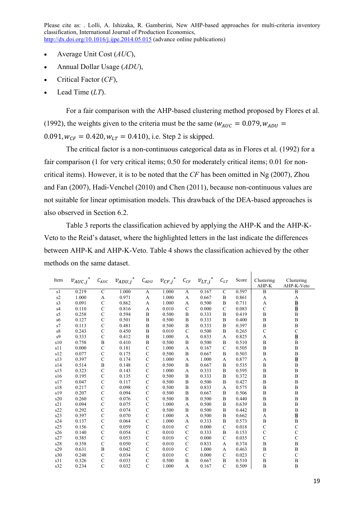- Average Unit Cost (*AUC*),
- Annual Dollar Usage (*ADU*),
- Critical Factor (*CF*),
- Lead Time (*LT*).

For a fair comparison with the AHP-based clustering method proposed by Flores et al. (1992), the weights given to the criteria must be the same ( $w_{AUC} = 0.079$ ,  $w_{ADU} =$ 0.091,  $w_{CF} = 0.420$ ,  $w_{LT} = 0.410$ ), i.e. Step 2 is skipped.

The critical factor is a non-continuous categorical data as in Flores et al. (1992) for a fair comparison (1 for very critical items; 0.50 for moderately critical items; 0.01 for noncritical items). However, it is to be noted that the *CF* has been omitted in Ng (2007), Zhou and Fan (2007), Hadi-Venchel (2010) and Chen (2011), because non-continuous values are not suitable for linear optimisation models. This drawback of the DEA-based approaches is also observed in Section 6.2.

Table 3 reports the classification achieved by applying the AHP-K and the AHP-K-Veto to the Reid's dataset, where the highlighted letters in the last indicate the differences between AHP-K and AHP-K-Veto. Table 4 shows the classification achieved by the other methods on the same dataset.

| Item           | $v_{AUC,j}^*$ | $C_{AUC}$     | $v_{ADU,j}$ <sup>*</sup> $C_{ADU}$ |               | $v_{CF, j}^*$ | $\mathcal{C}_{\mathcal{CF}}$ | $v_{LT, j}^{\vphantom{\ast}}$ | $C_{LT}$      | Score | Clustering    | Clustering                  |
|----------------|---------------|---------------|------------------------------------|---------------|---------------|------------------------------|-------------------------------|---------------|-------|---------------|-----------------------------|
|                |               |               |                                    |               |               |                              |                               |               |       | AHP-K         | AHP-K-Veto                  |
| s1             | 0.219         | $\mathcal{C}$ | 1.000                              | A             | 1.000         | A                            | 0.167                         | $\mathcal{C}$ | 0.597 | B             | B                           |
| s2             | 1.000         | A             | 0.971                              | A             | 1.000         | A                            | 0.667                         | B             | 0.861 | A             |                             |
| s3             | 0.091         | $\mathcal{C}$ | 0.862                              | A             | 1.000         | A                            | 0.500                         | B             | 0.711 | A             | A B<br>B B<br>B             |
| s4             | 0.110         | $\mathcal{C}$ | 0.816                              | A             | 0.010         | $\mathcal{C}$                | 0.000                         | $\mathcal{C}$ | 0.083 | $\mathbf C$   |                             |
| s5             | 0.258         | $\mathcal{C}$ | 0.594                              | B             | 0.500         | $\mathbf B$                  | 0.333                         | B             | 0.419 | B             |                             |
| s6             | 0.127         | $\mathbf C$   | 0.501                              | $\, {\bf B}$  | 0.500         | $\, {\bf B}$                 | 0.333                         | $\mathbf B$   | 0.400 | $\mathbf B$   | $\mathbf B$                 |
| s7             | 0.113         | $\mathcal{C}$ | 0.481                              | B             | 0.500         | $\mathbf B$                  | 0.333                         | B             | 0.397 | $\, {\bf B}$  | $\, {\bf B}$                |
| s8             | 0.243         | C             | 0.450                              | B             | 0.010         | $\mathcal{C}$                | 0.500                         | B             | 0.265 | $\mathcal{C}$ |                             |
| s <sub>9</sub> | 0.333         | C             | 0.412                              | B             | 1.000         | A                            | 0.833                         | A             | 0.825 | A             | $\frac{C}{B}$               |
| s10            | 0.758         | $\, {\bf B}$  | 0.410                              | B             | 0.500         | B                            | 0.500                         | B             | 0.510 | B             |                             |
| s11            | 0.000         | $\mathcal{C}$ | 0.181                              | $\mathbf C$   | 1.000         | A                            | 0.167                         | $\mathcal{C}$ | 0.505 | B             | $\, {\bf B}$                |
| s12            | 0.077         | С             | 0.175                              | $\mathbf C$   | 0.500         | B                            | 0.667                         | B             | 0.503 | B             | $\frac{\text{B}}{\text{B}}$ |
| s13            | 0.397         | $\mathcal{C}$ | 0.174                              | $\mathcal{C}$ | 1.000         | A                            | 1.000                         | A             | 0.877 | A             |                             |
| s14            | 0.514         | $\, {\bf B}$  | 0.148                              | $\mathcal{C}$ | 0.500         | $\mathbf B$                  | 0.667                         | B             | 0.535 | B             | $\overline{\mathbf{B}}$     |
| s15            | 0.323         | $\mathbf C$   | 0.143                              | $\mathcal{C}$ | 1.000         | A                            | 0.333                         | B             | 0.595 | B             | $\, {\bf B}$                |
| s16            | 0.195         | $\mathcal{C}$ | 0.135                              | $\mathcal{C}$ | 0.500         | B                            | 0.333                         | B             | 0.372 | B             | $\, {\bf B}$                |
| s17            | 0.047         | $\mathcal{C}$ | 0.117                              | $\mathcal{C}$ | 0.500         | $\mathbf B$                  | 0.500                         | B             | 0.427 | $\mathbf B$   | $\, {\bf B}$                |
| s18            | 0.217         | $\mathcal{C}$ | 0.098                              | $\mathcal{C}$ | 0.500         | $\mathbf B$                  | 0.833                         | A             | 0.575 | B             | $\, {\bf B}$                |
| s19            | 0.207         | $\mathbf C$   | 0.094                              | $\mathcal{C}$ | 0.500         | B                            | 0.667                         | B             | 0.506 | B             | $\, {\bf B}$                |
| s20            | 0.260         | $\mathbf C$   | 0.076                              | $\mathcal{C}$ | 0.500         | B                            | 0.500                         | B             | 0.440 | B             | $\, {\bf B}$                |
| s21            | 0.094         | $\mathbf C$   | 0.075                              | $\mathcal{C}$ | 1.000         | A                            | 0.500                         | B             | 0.639 | $\mathbf B$   | $\, {\bf B}$                |
| s22            | 0.292         | $\mathcal{C}$ | 0.074                              | $\mathcal{C}$ | 0.500         | $\mathbf B$                  | 0.500                         | B             | 0.442 | B             | $\, {\bf B}$                |
| s23            | 0.397         | $\mathbf C$   | 0.070                              | $\mathcal{C}$ | 1.000         | A                            | 0.500                         | B             | 0.662 | A             | $\overline{\mathbf{B}}$     |
| s24            | 0.137         | $\mathbf C$   | 0.064                              | $\mathcal{C}$ | 1.000         | A                            | 0.333                         | B             | 0.573 | B             | $\overline{B}$              |
| s25            | 0.156         | $\mathcal{C}$ | 0.059                              | $\mathcal{C}$ | 0.010         | $\mathcal{C}$                | 0.000                         | $\mathcal{C}$ | 0.018 | $\mathcal{C}$ | $\mathbf C$                 |
| s26            | 0.140         | $\mathcal{C}$ | 0.054                              | $\mathcal{C}$ | 0.010         | $\mathcal{C}$                | 0.333                         | B             | 0.153 | $\mathcal{C}$ | $\mathbf C$                 |
| s27            | 0.385         | $\mathcal{C}$ | 0.053                              | $\mathcal{C}$ | 0.010         | $\mathcal{C}$                | 0.000                         | $\mathcal{C}$ | 0.035 | $\mathcal{C}$ | $\mathbf C$                 |
| s28            | 0.358         | $\mathcal{C}$ | 0.050                              | $\mathcal{C}$ | 0.010         | $\mathcal{C}$                | 0.833                         | A             | 0.374 | B             | $\, {\bf B}$                |
| s29            | 0.631         | B             | 0.042                              | $\mathcal{C}$ | 0.010         | $\mathcal{C}$                | 1.000                         | A             | 0.463 | B             | $\, {\bf B}$                |
| s30            | 0.248         | С             | 0.034                              | $\mathbf C$   | 0.010         | $\mathcal{C}$                | 0.000                         | $\mathcal{C}$ | 0.023 | $\mathcal{C}$ | $\mathbf C$                 |
| s31            | 0.326         | $\mathcal{C}$ | 0.033                              | C             | 0.500         | B                            | 0.667                         | $\bf{B}$      | 0.510 | $\, {\bf B}$  | $\, {\bf B}$                |
| s32            | 0.234         | $\mathcal{C}$ | 0.032                              | $\mathcal{C}$ | 1.000         | A                            | 0.167                         | $\mathcal{C}$ | 0.509 | $\mathbf B$   | $\overline{B}$              |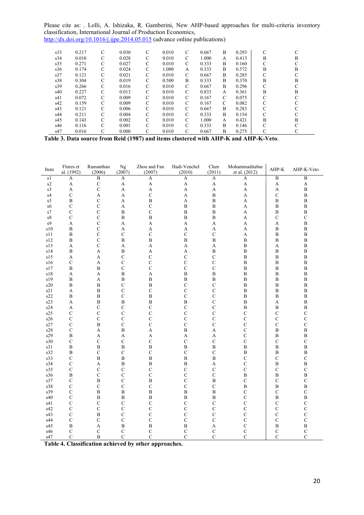Please cite as: . Lolli, A. Ishizaka, R. Gamberini, New AHP-based approaches for multi-criteria inventory classification, International Journal of Production Economics,

http://dx.doi.org/10.1016/j.ijpe.2014.05.015 (advance online publications)

| s33 | 0.217 | C | 0.030 | C | 0.010 | C | 0.667 | B | 0.293 | C |   |
|-----|-------|---|-------|---|-------|---|-------|---|-------|---|---|
| s34 | 0.010 | C | 0.028 | C | 0.010 | С | 1.000 | A | 0.413 | B | B |
| s35 | 0.271 | C | 0.027 | C | 0.010 | C | 0.333 | B | 0.160 | C |   |
| s36 | 0.174 | C | 0.024 | C | 1.000 | A | 0.333 | B | 0.572 | B | B |
| s37 | 0.121 | С | 0.021 | C | 0.010 | C | 0.667 | B | 0.285 | C |   |
| s38 | 0.304 | C | 0.019 | C | 0.500 | B | 0.333 | B | 0.370 | B | B |
| s39 | 0.266 | C | 0.016 | C | 0.010 | C | 0.667 | B | 0.296 | C |   |
| s40 | 0.227 | C | 0.013 | C | 0.010 | C | 0.833 | A | 0.361 | B | B |
| s41 | 0.072 | C | 0.009 | C | 0.010 | C | 0.167 | C | 0.075 | C |   |
| s42 | 0.159 | C | 0.009 | C | 0.010 | C | 0.167 | C | 0.082 | C |   |
| s43 | 0.121 | C | 0.006 | C | 0.010 | C | 0.667 | B | 0.283 | C |   |
| s44 | 0.211 | C | 0.004 | C | 0.010 | С | 0.333 | B | 0.154 | C |   |
| s45 | 0.143 | C | 0.002 | C | 0.010 | C | 1.000 | A | 0.421 | B | B |
| s46 | 0.116 | C | 0.001 | C | 0.010 | C | 0.333 | B | 0.146 | C |   |
| s47 | 0.016 | C | 0.000 | C | 0.010 | С | 0.667 | B | 0.275 | C |   |

**Table 3. Data source from Reid (1987) and items clustered with AHP-K and AHP-K-Veto**.

| Item           | Flores et<br>al. (1992) | Ramanthan<br>(2006)   | Ng<br>(2007)   | Zhou and Fan<br>(2007) | Hadi-Venchel<br>(2010) | Chen<br>(2011)   | Mohammaditabar<br>et al. (2012) | AHP-K          | AHP-K-Veto       |
|----------------|-------------------------|-----------------------|----------------|------------------------|------------------------|------------------|---------------------------------|----------------|------------------|
| s1             | A                       | $\, {\bf B}$          | A              | A                      | $\mathbf{A}$           | A                | A                               | $\, {\bf B}$   | $\mathbf B$      |
| s2             | $\mathbf{A}$            | $\mathbf C$           | A              | $\mathbf{A}$           | A                      | A                | A                               | A              | $\mathbf{A}$     |
| s3             | A                       | $\mathbf C$           | A              | A                      | A                      | A                | A                               | A              | $\overline{B}$   |
| s4             | $\mathcal{C}$           | A                     | A              | $\mathbf C$            | A                      | B                | A                               | $\mathsf{C}$   | $\boldsymbol{B}$ |
| s <sub>5</sub> | $\mathbf B$             | $\mathcal{C}$         | $\mathbf{A}$   | B                      | A                      | $\boldsymbol{B}$ | A                               | B              | $\, {\bf B}$     |
| s6             | $\mathcal{C}$           | $\overline{C}$        | A              | $\mathcal{C}$          | B                      | B                | A                               | B              | $\, {\bf B}$     |
| s7             | $\mathbf C$             | $\mathbf C$           | $\, {\bf B}$   | $\mathbf C$            | $\, {\bf B}$           | $\, {\bf B}$     | A                               | $\, {\bf B}$   | $\, {\bf B}$     |
| s8             | $\mathcal{C}$           | $\mathbf C$           | $\, {\bf B}$   | $\, {\bf B}$           | $\, {\bf B}$           | $\, {\bf B}$     | A                               | $\mathbf C$    | $\mathbf C$      |
| s <sub>9</sub> | A                       | $\mathbf C$           | A              | A                      | A                      | А                | A                               | A              | $\, {\bf B}$     |
| s10            | $\mathbf B$             | $\overline{C}$        | A              | A                      | A                      | A                | A                               | $\mathbf B$    | $\, {\bf B}$     |
| s11            | B                       | $\overline{C}$        | $\mathcal{C}$  | $\mathbf C$            | $\overline{C}$         | $\mathcal{C}$    | A                               | B              | $\, {\bf B}$     |
| s12            | $\, {\bf B}$            | $\mathbf C$           | B              | $\, {\bf B}$           | $\, {\bf B}$           | B                | $\, {\bf B}$                    | B              | $\, {\bf B}$     |
| s13            | A                       | $\mathbf C$           | A              | A                      | A                      | A                | $\, {\bf B}$                    | A              | $\, {\bf B}$     |
| s14            | $\, {\bf B}$            | A                     | $\, {\bf B}$   | A                      | A                      | $\mathbf B$      | $\overline{B}$                  | $\mathbf B$    | $\, {\bf B}$     |
| s15            | A                       | A                     | $\mathcal{C}$  | $\mathbf C$            | $\mathbf C$            | $\mathbf C$      | $\mathbf B$                     | $\, {\bf B}$   | $\, {\bf B}$     |
| s16            | $\mathbf C$             | $\boldsymbol{\rm{A}}$ | $\mathbf C$    | $\mathbf C$            | $\mathbf C$            | $\mathbf C$      | $\, {\bf B}$                    | $\, {\bf B}$   | $\, {\bf B}$     |
| s17            | $\, {\bf B}$            | B                     | $\mathcal{C}$  | $\mathcal{C}$          | $\mathbf C$            | $\mathbf C$      | $\, {\bf B}$                    | $\, {\bf B}$   | $\, {\bf B}$     |
| s18            | A                       | A                     | $\overline{B}$ | A                      | $\mathbf B$            | $\boldsymbol{B}$ | $\overline{B}$                  | $\, {\bf B}$   | $\, {\bf B}$     |
| s19            | $\mathbf B$             | A                     | $\mathbf B$    | $\, {\bf B}$           | $\, {\bf B}$           | $\boldsymbol{B}$ | $\, {\bf B}$                    | B              | $\, {\bf B}$     |
| s20            | $\, {\bf B}$            | $\, {\bf B}$          | $\mathcal{C}$  | $\, {\bf B}$           | $\overline{C}$         | $\mathbf C$      | $\overline{B}$                  | $\, {\bf B}$   | $\, {\bf B}$     |
| s21            | A                       | $\boldsymbol{B}$      | $\mathbf C$    | $\mathbf C$            | $\mathbf C$            | $\mathbf C$      | $\, {\bf B}$                    | $\mathbf B$    | $\, {\bf B}$     |
| s22            | $\mathbf B$             | $\boldsymbol{B}$      | $\mathcal{C}$  | $\, {\bf B}$           | $\mathbf C$            | $\mathbf C$      | $\overline{B}$                  | $\, {\bf B}$   | $\, {\bf B}$     |
| s23            | A                       | $\, {\bf B}$          | $\, {\bf B}$   | $\, {\bf B}$           | $\, {\bf B}$           | $\mathbf C$      | $\overline{B}$                  | A              | $\, {\bf B}$     |
| s24            | A                       | $\overline{C}$        | $\mathcal{C}$  | $\mathbf C$            | $\mathbf C$            | $\mathbf C$      | $\overline{B}$                  | $\, {\bf B}$   | $\, {\bf B}$     |
| s25            | $\mathbf C$             | $\mathbf C$           | $\mathbf C$    | $\mathbf C$            | $\mathbf C$            | $\mathbf C$      | $\mathbf C$                     | $\mathbf C$    | $\mathbf C$      |
| s26            | $\mathcal{C}$           | $\mathbf C$           | $\mathcal{C}$  | $\mathbf C$            | $\mathbf C$            | $\mathbf C$      | $\mathbf C$                     | $\mathbf C$    | $\mathbf C$      |
| s27            | $\mathbf C$             | B                     | $\mathcal{C}$  | $\mathbf C$            | $\mathbf C$            | $\mathcal{C}$    | $\mathbf C$                     | $\mathbf C$    | $\mathbf C$      |
| s28            | $\mathcal{C}$           | A                     | B              | A                      | $\mathbf B$            | A                | $\mathbf C$                     | $\, {\bf B}$   | $\, {\bf B}$     |
| s29            | B                       | A                     | A              | A                      | A                      | A                | $\mathbf C$                     | $\, {\bf B}$   | $\, {\bf B}$     |
| s30            | $\mathcal{C}$           | $\mathbf C$           | $\mathcal{C}$  | $\mathcal{C}$          | $\mathbf C$            | $\mathbf C$      | $\mathbf C$                     | $\mathbf C$    | C                |
| s31            | $\mathbf B$             | $\, {\bf B}$          | $\mathbf B$    | $\, {\bf B}$           | $\mathbf B$            | $\, {\bf B}$     | $\, {\bf B}$                    | $\mathbf B$    | $\, {\bf B}$     |
| s32            | $\mathbf B$             | $\mathbf C$           | $\mathcal{C}$  | $\mathcal{C}$          | $\mathbf C$            | $\mathcal{C}$    | $\overline{B}$                  | B              | $\boldsymbol{B}$ |
| s33            | $\mathcal{C}$           | $\overline{B}$        | $\, {\bf B}$   | B                      | $\, {\bf B}$           | $\overline{B}$   | $\mathbf C$                     | $\mathcal{C}$  | $\overline{C}$   |
| s34            | $\mathbf C$             | A                     | $\, {\bf B}$   | $\, {\bf B}$           | $\, {\bf B}$           | A                | $\mathbf C$                     | $\, {\bf B}$   | $\, {\bf B}$     |
| s35            | $\mathbf C$             | $\mathbf C$           | $\mathcal{C}$  | $\mathcal{C}$          | $\mathbf C$            | $\mathbf C$      | $\mathbf C$                     | $\mathbf C$    | $\mathbf C$      |
| s36            | $\, {\bf B}$            | $\mathbf C$           | $\mathcal{C}$  | $\mathcal{C}$          | $\mathbf C$            | $\mathcal{C}$    | $\mathbf B$                     | $\mathbf B$    | $\, {\bf B}$     |
| s37            | $\mathbf C$             | $\, {\bf B}$          | $\mathcal{C}$  | B                      | $\mathbf C$            | $\boldsymbol{B}$ | $\mathbf C$                     | $\mathbf C$    | $\mathbf C$      |
| s38            | $\mathcal{C}$           | $\mathsf{C}$          | $\mathcal{C}$  | $\mathcal{C}$          | $\mathbf C$            | $\mathcal{C}$    | $\, {\bf B}$                    | B              | $\, {\bf B}$     |
| s39            | $\mathbf C$             | $\, {\bf B}$          | $\, {\bf B}$   | $\, {\bf B}$           | $\, {\bf B}$           | $\boldsymbol{B}$ | $\mathbf C$                     | $\mathbf C$    | $\mathbf C$      |
| s40            | $\mathbf C$             | $\boldsymbol{B}$      | $\mathbf B$    | $\, {\bf B}$           | $\, {\bf B}$           | $\boldsymbol{B}$ | $\mathbf C$                     | $\, {\bf B}$   | $\, {\bf B}$     |
| s41            | $\mathbf C$             | $\mathbf C$           | $\mathcal{C}$  | $\mathbf C$            | $\mathbf C$            | $\mathbf C$      | $\mathbf C$                     | $\mathbf C$    | $\mathbf C$      |
| s42            | $\mathbf C$             | $\mathbf C$           | $\mathcal{C}$  | $\mathbf C$            | $\mathbf C$            | $\mathcal{C}$    | $\mathbf C$                     | $\mathbf C$    | $\mathbf C$      |
| s43            | $\mathbf C$             | $\, {\bf B}$          | $\mathbf C$    | $\mathbf C$            | $\mathbf C$            | $\mathbf C$      | $\mathbf C$                     | $\mathbf C$    | $\mathbf C$      |
| s44            | $\mathbf C$             | $\mathbf C$           | $\mathbf C$    | $\mathbf C$            | $\mathbf C$            | $\mathbf C$      | $\mathbf C$                     | $\mathbf C$    | $\mathbf C$      |
| s45            | $\mathbf B$             | A                     | $\overline{B}$ | $\, {\bf B}$           | $\, {\bf B}$           | A                | $\mathbf C$                     | $\, {\bf B}$   | $\, {\bf B}$     |
| s46            | $\mathbf C$             | $\mathbf C$           | $\mathbf C$    | $\mathbf C$            | $\mathbf C$            | $\mathbf C$      | $\mathbf C$                     | $\mathbf C$    | $\mathbf C$      |
| s47            | $\mathcal{C}$           | $\overline{B}$        | $\overline{C}$ | $\mathcal{C}$          | $\overline{C}$         | $\overline{C}$   | $\overline{C}$                  | $\overline{C}$ | $\overline{C}$   |

**Table 4. Classification achieved by other approaches.**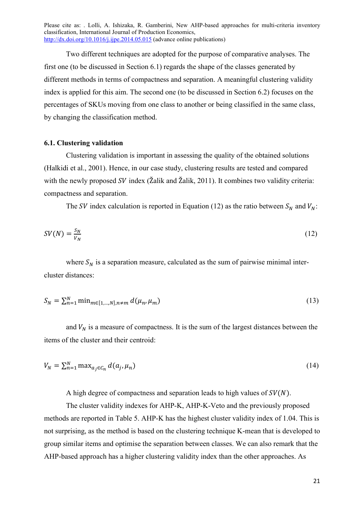Two different techniques are adopted for the purpose of comparative analyses. The first one (to be discussed in Section 6.1) regards the shape of the classes generated by different methods in terms of compactness and separation. A meaningful clustering validity index is applied for this aim. The second one (to be discussed in Section 6.2) focuses on the percentages of SKUs moving from one class to another or being classified in the same class, by changing the classification method.

## **6.1. Clustering validation**

Clustering validation is important in assessing the quality of the obtained solutions (Halkidi et al., 2001). Hence, in our case study, clustering results are tested and compared with the newly proposed  $SV$  index (Žalik and Žalik, 2011). It combines two validity criteria: compactness and separation.

The SV index calculation is reported in Equation (12) as the ratio between  $S_N$  and  $V_N$ :

$$
SV(N) = \frac{S_N}{V_N} \tag{12}
$$

where  $S_N$  is a separation measure, calculated as the sum of pairwise minimal intercluster distances:

$$
S_N = \sum_{n=1}^N \min_{m \in [1, \dots, N], n \neq m} d(\mu_n, \mu_m)
$$
 (13)

and  $V_N$  is a measure of compactness. It is the sum of the largest distances between the items of the cluster and their centroid:

$$
V_N = \sum_{n=1}^N \max_{a_j \in C_n} d(a_j, \mu_n) \tag{14}
$$

A high degree of compactness and separation leads to high values of  $SV(N)$ .

 The cluster validity indexes for AHP-K, AHP-K-Veto and the previously proposed methods are reported in Table 5. AHP-K has the highest cluster validity index of 1.04. This is not surprising, as the method is based on the clustering technique K-mean that is developed to group similar items and optimise the separation between classes. We can also remark that the AHP-based approach has a higher clustering validity index than the other approaches. As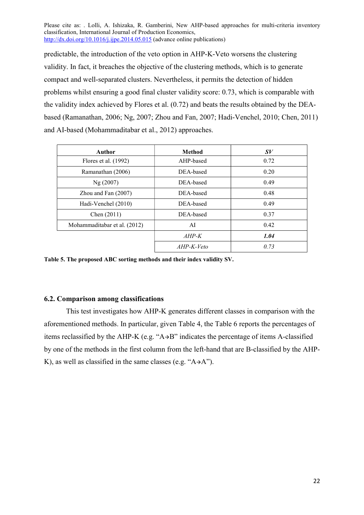predictable, the introduction of the veto option in AHP-K-Veto worsens the clustering validity. In fact, it breaches the objective of the clustering methods, which is to generate compact and well-separated clusters. Nevertheless, it permits the detection of hidden problems whilst ensuring a good final cluster validity score: 0.73, which is comparable with the validity index achieved by Flores et al. (0.72) and beats the results obtained by the DEAbased (Ramanathan, 2006; Ng, 2007; Zhou and Fan, 2007; Hadi-Venchel, 2010; Chen, 2011) and AI-based (Mohammaditabar et al., 2012) approaches.

| Author                       | Method       | $\mathcal{S}V$ |  |  |
|------------------------------|--------------|----------------|--|--|
| Flores et al. (1992)         | AHP-based    | 0.72           |  |  |
| Ramanathan (2006)            | DEA-based    | 0.20           |  |  |
| Ng(2007)                     | DEA-based    | 0.49           |  |  |
| Zhou and Fan $(2007)$        | DEA-based    | 0.48           |  |  |
| Hadi-Venchel (2010)          | DEA-based    | 0.49           |  |  |
| Chen $(2011)$                | DEA-based    | 0.37           |  |  |
| Mohammaditabar et al. (2012) | AI           | 0.42           |  |  |
|                              | $AHP-K$      | 1.04           |  |  |
|                              | $AHP-K-Veto$ | 0.73           |  |  |

**Table 5. The proposed ABC sorting methods and their index validity SV.** 

# **6.2. Comparison among classifications**

 This test investigates how AHP-K generates different classes in comparison with the aforementioned methods. In particular, given Table 4, the Table 6 reports the percentages of items reclassified by the AHP-K (e.g. " $A \rightarrow B$ " indicates the percentage of items A-classified by one of the methods in the first column from the left-hand that are B-classified by the AHP-K), as well as classified in the same classes (e.g. " $A \rightarrow A$ ").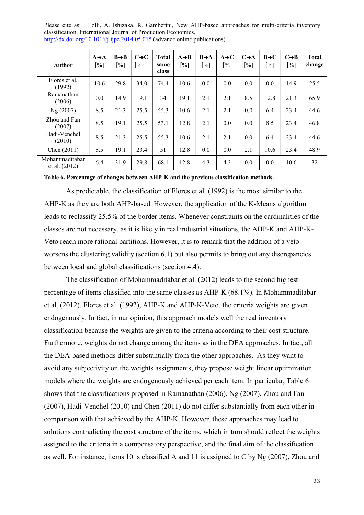| <b>Author</b>                   | $A \rightarrow A$<br>$[\%]$ | $B\rightarrow B$<br>$[\%]$ | $C \rightarrow C$<br>$[\%]$ | <b>Total</b><br>same<br>class | $A \rightarrow B$<br>$[\%]$ | $B\rightarrow A$<br>$[\%]$ | $A \rightarrow C$<br>$[\%]$ | $C \rightarrow A$<br>$[\%]$ | $B \rightarrow C$<br>$[\%]$ | $C \rightarrow B$<br>$[\%]$ | <b>Total</b><br>change |
|---------------------------------|-----------------------------|----------------------------|-----------------------------|-------------------------------|-----------------------------|----------------------------|-----------------------------|-----------------------------|-----------------------------|-----------------------------|------------------------|
| Flores et al.<br>(1992)         | 10.6                        | 29.8                       | 34.0                        | 74.4                          | 10.6                        | 0.0                        | 0.0                         | 0.0                         | 0.0                         | 14.9                        | 25.5                   |
| Ramanathan<br>(2006)            | 0.0                         | 14.9                       | 19.1                        | 34                            | 19.1                        | 2.1                        | 2.1                         | 8.5                         | 12.8                        | 21.3                        | 65.9                   |
| Ng(2007)                        | 8.5                         | 21.3                       | 25.5                        | 55.3                          | 10.6                        | 2.1                        | 2.1                         | 0.0                         | 6.4                         | 23.4                        | 44.6                   |
| Zhou and Fan<br>(2007)          | 8.5                         | 19.1                       | 25.5                        | 53.1                          | 12.8                        | 2.1                        | 0.0                         | 0.0                         | 8.5                         | 23.4                        | 46.8                   |
| Hadi-Venchel<br>(2010)          | 8.5                         | 21.3                       | 25.5                        | 55.3                          | 10.6                        | 2.1                        | 2.1                         | 0.0                         | 6.4                         | 23.4                        | 44.6                   |
| Chen $(2011)$                   | 8.5                         | 19.1                       | 23.4                        | 51                            | 12.8                        | 0.0                        | 0.0                         | 2.1                         | 10.6                        | 23.4                        | 48.9                   |
| Mohammaditabar<br>et al. (2012) | 6.4                         | 31.9                       | 29.8                        | 68.1                          | 12.8                        | 4.3                        | 4.3                         | 0.0                         | 0.0                         | 10.6                        | 32                     |

**Table 6. Percentage of changes between AHP-K and the previous classification methods.** 

 As predictable, the classification of Flores et al. (1992) is the most similar to the AHP-K as they are both AHP-based. However, the application of the K-Means algorithm leads to reclassify 25.5% of the border items. Whenever constraints on the cardinalities of the classes are not necessary, as it is likely in real industrial situations, the AHP-K and AHP-K-Veto reach more rational partitions. However, it is to remark that the addition of a veto worsens the clustering validity (section 6.1) but also permits to bring out any discrepancies between local and global classifications (section 4.4).

 The classification of Mohammaditabar et al. (2012) leads to the second highest percentage of items classified into the same classes as AHP-K (68.1%). In Mohammaditabar et al. (2012), Flores et al. (1992), AHP-K and AHP-K-Veto, the criteria weights are given endogenously. In fact, in our opinion, this approach models well the real inventory classification because the weights are given to the criteria according to their cost structure. Furthermore, weights do not change among the items as in the DEA approaches. In fact, all the DEA-based methods differ substantially from the other approaches. As they want to avoid any subjectivity on the weights assignments, they propose weight linear optimization models where the weights are endogenously achieved per each item. In particular, Table 6 shows that the classifications proposed in Ramanathan (2006), Ng (2007), Zhou and Fan (2007), Hadi-Venchel (2010) and Chen (2011) do not differ substantially from each other in comparison with that achieved by the AHP-K. However, these approaches may lead to solutions contradicting the cost structure of the items, which in turn should reflect the weights assigned to the criteria in a compensatory perspective, and the final aim of the classification as well. For instance, items 10 is classified A and 11 is assigned to C by Ng (2007), Zhou and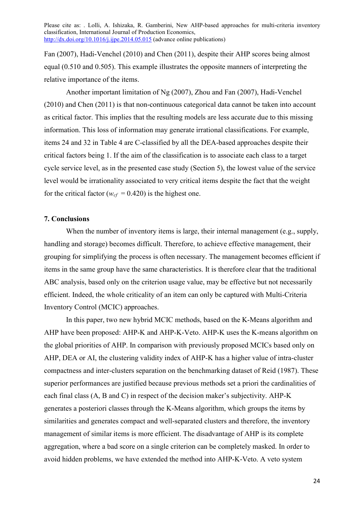Fan (2007), Hadi-Venchel (2010) and Chen (2011), despite their AHP scores being almost equal (0.510 and 0.505). This example illustrates the opposite manners of interpreting the relative importance of the items.

 Another important limitation of Ng (2007), Zhou and Fan (2007), Hadi-Venchel (2010) and Chen (2011) is that non-continuous categorical data cannot be taken into account as critical factor. This implies that the resulting models are less accurate due to this missing information. This loss of information may generate irrational classifications. For example, items 24 and 32 in Table 4 are C-classified by all the DEA-based approaches despite their critical factors being 1. If the aim of the classification is to associate each class to a target cycle service level, as in the presented case study (Section 5), the lowest value of the service level would be irrationality associated to very critical items despite the fact that the weight for the critical factor ( $w_{cf} = 0.420$ ) is the highest one.

# **7. Conclusions**

When the number of inventory items is large, their internal management (e.g., supply, handling and storage) becomes difficult. Therefore, to achieve effective management, their grouping for simplifying the process is often necessary. The management becomes efficient if items in the same group have the same characteristics. It is therefore clear that the traditional ABC analysis, based only on the criterion usage value, may be effective but not necessarily efficient. Indeed, the whole criticality of an item can only be captured with Multi-Criteria Inventory Control (MCIC) approaches.

 In this paper, two new hybrid MCIC methods, based on the K-Means algorithm and AHP have been proposed: AHP-K and AHP-K-Veto. AHP-K uses the K-means algorithm on the global priorities of AHP. In comparison with previously proposed MCICs based only on AHP, DEA or AI, the clustering validity index of AHP-K has a higher value of intra-cluster compactness and inter-clusters separation on the benchmarking dataset of Reid (1987). These superior performances are justified because previous methods set a priori the cardinalities of each final class  $(A, B \text{ and } C)$  in respect of the decision maker's subjectivity. AHP-K generates a posteriori classes through the K-Means algorithm, which groups the items by similarities and generates compact and well-separated clusters and therefore, the inventory management of similar items is more efficient. The disadvantage of AHP is its complete aggregation, where a bad score on a single criterion can be completely masked. In order to avoid hidden problems, we have extended the method into AHP-K-Veto. A veto system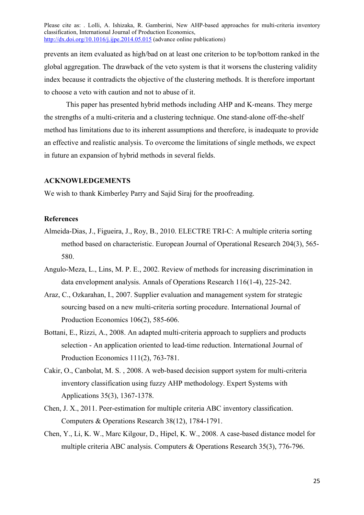prevents an item evaluated as high/bad on at least one criterion to be top/bottom ranked in the global aggregation. The drawback of the veto system is that it worsens the clustering validity index because it contradicts the objective of the clustering methods. It is therefore important to choose a veto with caution and not to abuse of it.

 This paper has presented hybrid methods including AHP and K-means. They merge the strengths of a multi-criteria and a clustering technique. One stand-alone off-the-shelf method has limitations due to its inherent assumptions and therefore, is inadequate to provide an effective and realistic analysis. To overcome the limitations of single methods, we expect in future an expansion of hybrid methods in several fields.

# **ACKNOWLEDGEMENTS**

We wish to thank Kimberley Parry and Sajid Siraj for the proofreading.

# **References**

- Almeida-Dias, J., Figueira, J., Roy, B., 2010. ELECTRE TRI-C: A multiple criteria sorting method based on characteristic. European Journal of Operational Research 204(3), 565- 580.
- Angulo-Meza, L., Lins, M. P. E., 2002. Review of methods for increasing discrimination in data envelopment analysis. Annals of Operations Research 116(1-4), 225-242.
- Araz, C., Ozkarahan, I., 2007. Supplier evaluation and management system for strategic sourcing based on a new multi-criteria sorting procedure. International Journal of Production Economics 106(2), 585-606.
- Bottani, E., Rizzi, A., 2008. An adapted multi-criteria approach to suppliers and products selection - An application oriented to lead-time reduction. International Journal of Production Economics 111(2), 763-781.
- Cakir, O., Canbolat, M. S. , 2008. A web-based decision support system for multi-criteria inventory classification using fuzzy AHP methodology. Expert Systems with Applications 35(3), 1367-1378.
- Chen, J. X., 2011. Peer-estimation for multiple criteria ABC inventory classification. Computers & Operations Research 38(12), 1784-1791.
- Chen, Y., Li, K. W., Marc Kilgour, D., Hipel, K. W., 2008. A case-based distance model for multiple criteria ABC analysis. Computers & Operations Research 35(3), 776-796.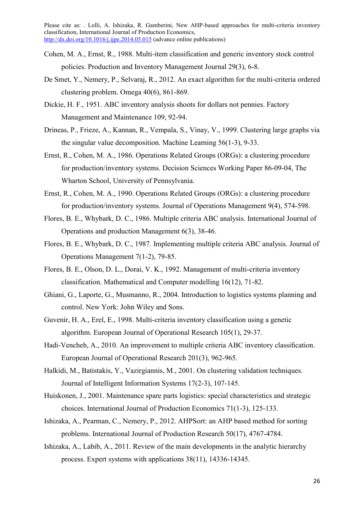- Cohen, M. A., Ernst, R., 1988. Multi-item classification and generic inventory stock control policies. Production and Inventory Management Journal 29(3), 6-8.
- De Smet, Y., Nemery, P., Selvaraj, R., 2012. An exact algorithm for the multi-criteria ordered clustering problem. Omega 40(6), 861-869.
- Dickie, H. F., 1951. ABC inventory analysis shoots for dollars not pennies. Factory Management and Maintenance 109, 92-94.
- Drineas, P., Frieze, A., Kannan, R., Vempala, S., Vinay, V., 1999. Clustering large graphs via the singular value decomposition. Machine Learning 56(1-3), 9-33.
- Ernst, R., Cohen, M. A., 1986. Operations Related Groups (ORGs): a clustering procedure for production/inventory systems. Decision Sciences Working Paper 86-09-04, The Wharton School, University of Pennsylvania.
- Ernst, R., Cohen, M. A., 1990. Operations Related Groups (ORGs): a clustering procedure for production/inventory systems. Journal of Operations Management 9(4), 574-598.
- Flores, B. E., Whybark, D. C., 1986. Multiple criteria ABC analysis. International Journal of Operations and production Management 6(3), 38-46.
- Flores, B. E., Whybark, D. C., 1987. Implementing multiple criteria ABC analysis. Journal of Operations Management 7(1-2), 79-85.
- Flores, B. E., Olson, D. L., Dorai, V. K., 1992. Management of multi-criteria inventory classification. Mathematical and Computer modelling 16(12), 71-82.
- Ghiani, G., Laporte, G., Musmanno, R., 2004. Introduction to logistics systems planning and control. New York: John Wiley and Sons.
- Guvenir, H. A., Erel, E., 1998. Multi-criteria inventory classification using a genetic algorithm. European Journal of Operational Research 105(1), 29-37.
- Hadi-Vencheh, A., 2010. An improvement to multiple criteria ABC inventory classification. European Journal of Operational Research 201(3), 962-965.
- Halkidi, M., Batistakis, Y., Vazirgiannis, M., 2001. On clustering validation techniques. Journal of Intelligent Information Systems 17(2-3), 107-145.
- Huiskonen, J., 2001. Maintenance spare parts logistics: special characteristics and strategic choices. International Journal of Production Economics 71(1-3), 125-133.
- Ishizaka, A., Pearman, C., Nemery, P., 2012. AHPSort: an AHP based method for sorting problems. International Journal of Production Research 50(17), 4767-4784.
- Ishizaka, A., Labib, A., 2011. Review of the main developments in the analytic hierarchy process. Expert systems with applications 38(11), 14336-14345.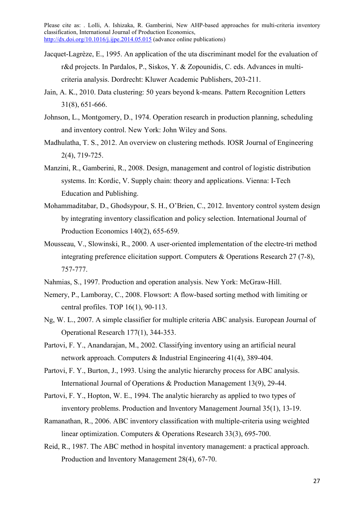- Jacquet-Lagrèze, E., 1995. An application of the uta discriminant model for the evaluation of r&d projects. In Pardalos, P., Siskos, Y. & Zopounidis, C. eds. Advances in multicriteria analysis. Dordrecht: Kluwer Academic Publishers, 203-211.
- Jain, A. K., 2010. Data clustering: 50 years beyond k-means. Pattern Recognition Letters 31(8), 651-666.
- Johnson, L., Montgomery, D., 1974. Operation research in production planning, scheduling and inventory control. New York: John Wiley and Sons.
- Madhulatha, T. S., 2012. An overview on clustering methods. IOSR Journal of Engineering 2(4), 719-725.
- Manzini, R., Gamberini, R., 2008. Design, management and control of logistic distribution systems. In: Kordic, V. Supply chain: theory and applications. Vienna: I-Tech Education and Publishing.
- Mohammaditabar, D., Ghodsypour, S. H., O'Brien, C., 2012. Inventory control system design by integrating inventory classification and policy selection. International Journal of Production Economics 140(2), 655-659.
- Mousseau, V., Slowinski, R., 2000. A user-oriented implementation of the electre-tri method integrating preference elicitation support. Computers & Operations Research 27 (7-8), 757-777.
- Nahmias, S., 1997. Production and operation analysis. New York: McGraw-Hill.
- Nemery, P., Lamboray, C., 2008. Flowsort: A flow-based sorting method with limiting or central profiles. TOP 16(1), 90-113.
- Ng, W. L., 2007. A simple classifier for multiple criteria ABC analysis. European Journal of Operational Research 177(1), 344-353.
- Partovi, F. Y., Anandarajan, M., 2002. Classifying inventory using an artificial neural network approach. Computers & Industrial Engineering 41(4), 389-404.
- Partovi, F. Y., Burton, J., 1993. Using the analytic hierarchy process for ABC analysis. International Journal of Operations & Production Management 13(9), 29-44.
- Partovi, F. Y., Hopton, W. E., 1994. The analytic hierarchy as applied to two types of inventory problems. Production and Inventory Management Journal 35(1), 13-19.
- Ramanathan, R., 2006. ABC inventory classification with multiple-criteria using weighted linear optimization. Computers & Operations Research 33(3), 695-700.
- Reid, R., 1987. The ABC method in hospital inventory management: a practical approach. Production and Inventory Management 28(4), 67-70.